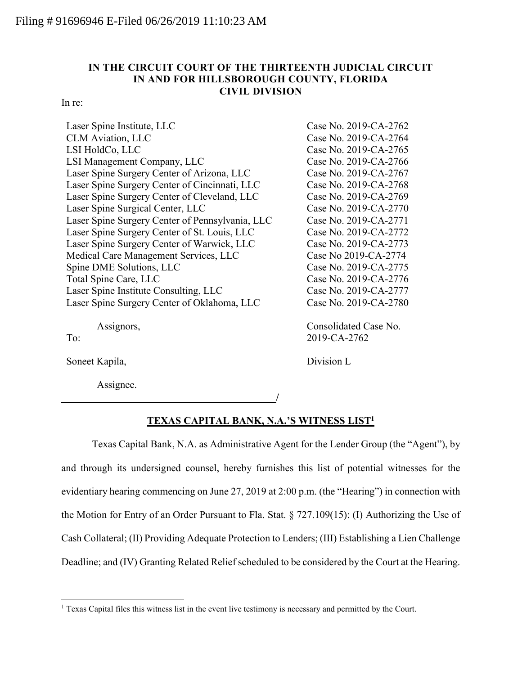## **IN THE CIRCUIT COURT OF THE THIRTEENTH JUDICIAL CIRCUIT IN AND FOR HILLSBOROUGH COUNTY, FLORIDA CIVIL DIVISION**

In re:

| Laser Spine Institute, LLC                      | Case No. 2019-CA-2762 |
|-------------------------------------------------|-----------------------|
| <b>CLM</b> Aviation, LLC                        | Case No. 2019-CA-2764 |
| LSI HoldCo, LLC                                 | Case No. 2019-CA-2765 |
| LSI Management Company, LLC                     | Case No. 2019-CA-2766 |
| Laser Spine Surgery Center of Arizona, LLC      | Case No. 2019-CA-2767 |
| Laser Spine Surgery Center of Cincinnati, LLC   | Case No. 2019-CA-2768 |
| Laser Spine Surgery Center of Cleveland, LLC    | Case No. 2019-CA-2769 |
| Laser Spine Surgical Center, LLC                | Case No. 2019-CA-2770 |
| Laser Spine Surgery Center of Pennsylvania, LLC | Case No. 2019-CA-2771 |
| Laser Spine Surgery Center of St. Louis, LLC    | Case No. 2019-CA-2772 |
| Laser Spine Surgery Center of Warwick, LLC      | Case No. 2019-CA-2773 |
| Medical Care Management Services, LLC           | Case No 2019-CA-2774  |
| Spine DME Solutions, LLC                        | Case No. 2019-CA-2775 |
| Total Spine Care, LLC                           | Case No. 2019-CA-2776 |
| Laser Spine Institute Consulting, LLC           | Case No. 2019-CA-2777 |
| Laser Spine Surgery Center of Oklahoma, LLC     | Case No. 2019-CA-2780 |
|                                                 |                       |

Assignors,

To:

 $\overline{a}$ 

Soneet Kapila,

Assignee.

Consolidated Case No. 2019-CA-2762

Division L

## **TEXAS CAPITAL BANK, N.A.'S WITNESS LIST<sup>1</sup>**

**/**

Texas Capital Bank, N.A. as Administrative Agent for the Lender Group (the "Agent"), by and through its undersigned counsel, hereby furnishes this list of potential witnesses for the evidentiary hearing commencing on June 27, 2019 at 2:00 p.m. (the "Hearing") in connection with the Motion for Entry of an Order Pursuant to Fla. Stat. § 727.109(15): (I) Authorizing the Use of Cash Collateral; (II) Providing Adequate Protection to Lenders; (III) Establishing a Lien Challenge Deadline; and (IV) Granting Related Relief scheduled to be considered by the Court at the Hearing.

<sup>&</sup>lt;sup>1</sup> Texas Capital files this witness list in the event live testimony is necessary and permitted by the Court.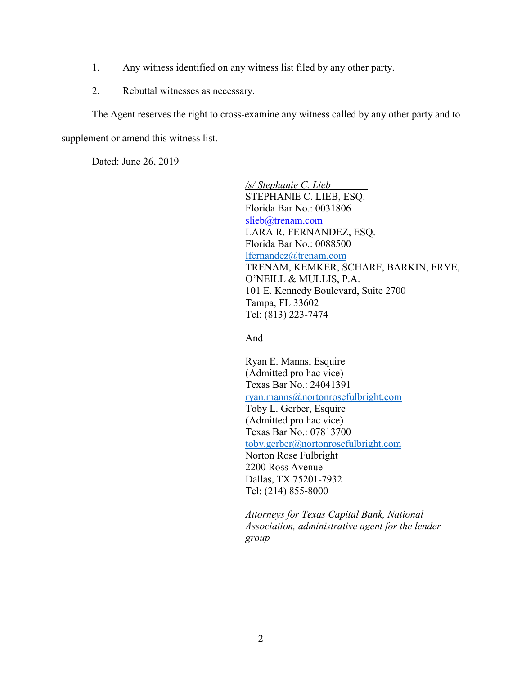- 1. Any witness identified on any witness list filed by any other party.
- 2. Rebuttal witnesses as necessary.

The Agent reserves the right to cross-examine any witness called by any other party and to

supplement or amend this witness list.

Dated: June 26, 2019

*/s/ Stephanie C. Lieb* STEPHANIE C. LIEB, ESQ. Florida Bar No.: 0031806 slieb@trenam.com LARA R. FERNANDEZ, ESQ. Florida Bar No.: 0088500 [lfernandez@trenam.com](mailto:lfernandez@trenam.com) TRENAM, KEMKER, SCHARF, BARKIN, FRYE, O'NEILL & MULLIS, P.A. 101 E. Kennedy Boulevard, Suite 2700 Tampa, FL 33602 Tel: (813) 223-7474

And

Ryan E. Manns, Esquire (Admitted pro hac vice) Texas Bar No.: 24041391 [ryan.manns@nortonrosefulbright.com](mailto:ryan.manns@nortonrosefulbright.com) Toby L. Gerber, Esquire (Admitted pro hac vice) Texas Bar No.: 07813700 [toby.gerber@nortonrosefulbright.com](mailto:toby.gerber@nortonrosefulbright.com) Norton Rose Fulbright 2200 Ross Avenue Dallas, TX 75201-7932 Tel: (214) 855-8000

*Attorneys for Texas Capital Bank, National Association, administrative agent for the lender group*